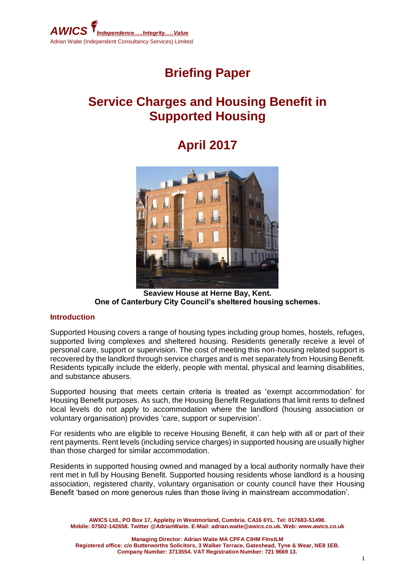

# **Briefing Paper**

# **Service Charges and Housing Benefit in Supported Housing**

# **April 2017**



**Seaview House at Herne Bay, Kent. One of Canterbury City Council's sheltered housing schemes.**

#### **Introduction**

Supported Housing covers a range of housing types including group homes, hostels, refuges, supported living complexes and sheltered housing. Residents generally receive a level of personal care, support or supervision. The cost of meeting this non-housing related support is recovered by the landlord through service charges and is met separately from Housing Benefit. Residents typically include the elderly, people with mental, physical and learning disabilities, and substance abusers.

Supported housing that meets certain criteria is treated as 'exempt accommodation' for Housing Benefit purposes. As such, the Housing Benefit Regulations that limit rents to defined local levels do not apply to accommodation where the landlord (housing association or voluntary organisation) provides 'care, support or supervision'.

For residents who are eligible to receive Housing Benefit, it can help with all or part of their rent payments. Rent levels (including service charges) in supported housing are usually higher than those charged for similar accommodation.

Residents in supported housing owned and managed by a local authority normally have their rent met in full by Housing Benefit. Supported housing residents whose landlord is a housing association, registered charity, voluntary organisation or county council have their Housing Benefit 'based on more generous rules than those living in mainstream accommodation'.

**AWICS Ltd., PO Box 17, Appleby in Westmorland, Cumbria. CA16 6YL. Tel: 017683-51498. Mobile: 07502-142658. Twitter @AdrianWaite. E-Mail: adrian.waite@awics.co.uk. Web: www.awics.co.uk**

**Managing Director: Adrian Waite MA CPFA CIHM FInstLM Registered office: c/o Butterworths Solicitors, 3 Walker Terrace, Gateshead, Tyne & Wear, NE8 1EB. Company Number: 3713554. VAT Registration Number: 721 9669 13.**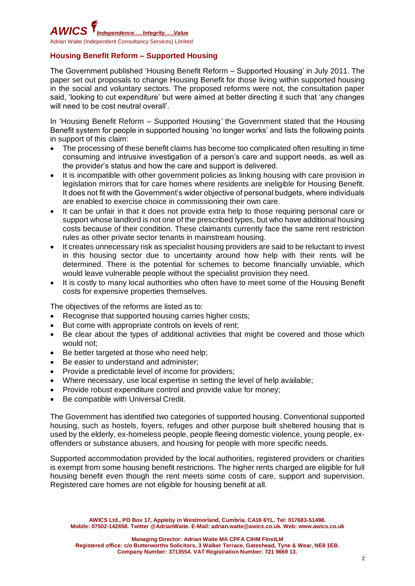

### **Housing Benefit Reform – Supported Housing**

The Government published 'Housing Benefit Reform – Supported Housing' in July 2011. The paper set out proposals to change Housing Benefit for those living within supported housing in the social and voluntary sectors. The proposed reforms were not, the consultation paper said, 'looking to cut expenditure' but were aimed at better directing it such that 'any changes will need to be cost neutral overall'.

In 'Housing Benefit Reform – Supported Housing*'* the Government stated that the Housing Benefit system for people in supported housing 'no longer works' and lists the following points in support of this claim:

- The processing of these benefit claims has become too complicated often resulting in time consuming and intrusive investigation of a person's care and support needs, as well as the provider's status and how the care and support is delivered.
- It is incompatible with other government policies as linking housing with care provision in legislation mirrors that for care homes where residents are ineligible for Housing Benefit. It does not fit with the Government's wider objective of personal budgets, where individuals are enabled to exercise choice in commissioning their own care.
- It can be unfair in that it does not provide extra help to those requiring personal care or support whose landlord is not one of the prescribed types, but who have additional housing costs because of their condition. These claimants currently face the same rent restriction rules as other private sector tenants in mainstream housing.
- It creates unnecessary risk as specialist housing providers are said to be reluctant to invest in this housing sector due to uncertainty around how help with their rents will be determined. There is the potential for schemes to become financially unviable, which would leave vulnerable people without the specialist provision they need.
- It is costly to many local authorities who often have to meet some of the Housing Benefit costs for expensive properties themselves.

The objectives of the reforms are listed as to:

- Recognise that supported housing carries higher costs;
- But come with appropriate controls on levels of rent;
- Be clear about the types of additional activities that might be covered and those which would not;
- Be better targeted at those who need help;
- Be easier to understand and administer;
- Provide a predictable level of income for providers;
- Where necessary, use local expertise in setting the level of help available;
- Provide robust expenditure control and provide value for money;
- Be compatible with Universal Credit.

The Government has identified two categories of supported housing. Conventional supported housing, such as hostels, foyers, refuges and other purpose built sheltered housing that is used by the elderly, ex-homeless people, people fleeing domestic violence, young people, exoffenders or substance abusers, and housing for people with more specific needs.

Supported accommodation provided by the local authorities, registered providers or charities is exempt from some housing benefit restrictions. The higher rents charged are eligible for full housing benefit even though the rent meets some costs of care, support and supervision. Registered care homes are not eligible for housing benefit at all.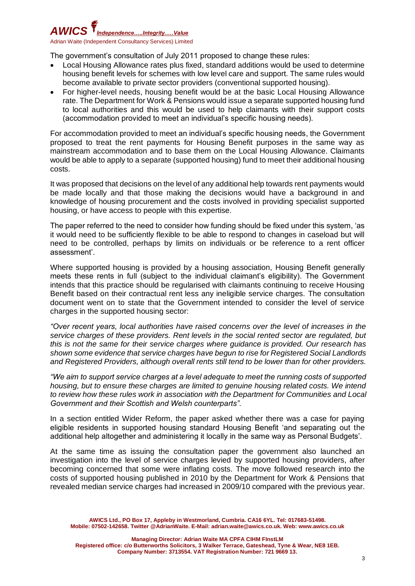

The government's consultation of July 2011 proposed to change these rules:

- Local Housing Allowance rates plus fixed, standard additions would be used to determine housing benefit levels for schemes with low level care and support. The same rules would become available to private sector providers (conventional supported housing).
- For higher-level needs, housing benefit would be at the basic Local Housing Allowance rate. The Department for Work & Pensions would issue a separate supported housing fund to local authorities and this would be used to help claimants with their support costs (accommodation provided to meet an individual's specific housing needs).

For accommodation provided to meet an individual's specific housing needs, the Government proposed to treat the rent payments for Housing Benefit purposes in the same way as mainstream accommodation and to base them on the Local Housing Allowance. Claimants would be able to apply to a separate (supported housing) fund to meet their additional housing costs.

It was proposed that decisions on the level of any additional help towards rent payments would be made locally and that those making the decisions would have a background in and knowledge of housing procurement and the costs involved in providing specialist supported housing, or have access to people with this expertise.

The paper referred to the need to consider how funding should be fixed under this system, 'as it would need to be sufficiently flexible to be able to respond to changes in caseload but will need to be controlled, perhaps by limits on individuals or be reference to a rent officer assessment'.

Where supported housing is provided by a housing association, Housing Benefit generally meets these rents in full (subject to the individual claimant's eligibility). The Government intends that this practice should be regularised with claimants continuing to receive Housing Benefit based on their contractual rent less any ineligible service charges. The consultation document went on to state that the Government intended to consider the level of service charges in the supported housing sector:

*"Over recent years, local authorities have raised concerns over the level of increases in the service charges of these providers. Rent levels in the social rented sector are regulated, but this is not the same for their service charges where guidance is provided. Our research has shown some evidence that service charges have begun to rise for Registered Social Landlords and Registered Providers, although overall rents still tend to be lower than for other providers.*

*"We aim to support service charges at a level adequate to meet the running costs of supported housing, but to ensure these charges are limited to genuine housing related costs. We intend to review how these rules work in association with the Department for Communities and Local Government and their Scottish and Welsh counterparts".*

In a section entitled Wider Reform, the paper asked whether there was a case for paying eligible residents in supported housing standard Housing Benefit 'and separating out the additional help altogether and administering it locally in the same way as Personal Budgets'.

At the same time as issuing the consultation paper the government also launched an investigation into the level of service charges levied by supported housing providers, after becoming concerned that some were inflating costs. The move followed research into the costs of supported housing published in 2010 by the Department for Work & Pensions that revealed median service charges had increased in 2009/10 compared with the previous year.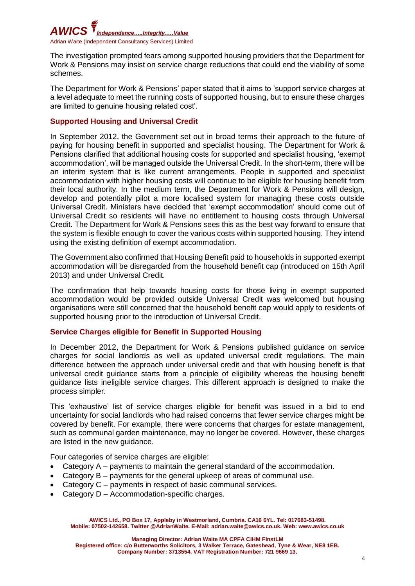

The investigation prompted fears among supported housing providers that the Department for Work & Pensions may insist on service charge reductions that could end the viability of some schemes.

The Department for Work & Pensions' paper stated that it aims to 'support service charges at a level adequate to meet the running costs of supported housing, but to ensure these charges are limited to genuine housing related cost'.

### **Supported Housing and Universal Credit**

In September 2012, the Government set out in broad terms their approach to the future of paying for housing benefit in supported and specialist housing. The Department for Work & Pensions clarified that additional housing costs for supported and specialist housing, 'exempt accommodation', will be managed outside the Universal Credit. In the short-term, there will be an interim system that is like current arrangements. People in supported and specialist accommodation with higher housing costs will continue to be eligible for housing benefit from their local authority. In the medium term, the Department for Work & Pensions will design, develop and potentially pilot a more localised system for managing these costs outside Universal Credit. Ministers have decided that 'exempt accommodation' should come out of Universal Credit so residents will have no entitlement to housing costs through Universal Credit. The Department for Work & Pensions sees this as the best way forward to ensure that the system is flexible enough to cover the various costs within supported housing. They intend using the existing definition of exempt accommodation.

The Government also confirmed that Housing Benefit paid to households in supported exempt accommodation will be disregarded from the household benefit cap (introduced on 15th April 2013) and under Universal Credit.

The confirmation that help towards housing costs for those living in exempt supported accommodation would be provided outside Universal Credit was welcomed but housing organisations were still concerned that the household benefit cap would apply to residents of supported housing prior to the introduction of Universal Credit.

#### **Service Charges eligible for Benefit in Supported Housing**

In December 2012, the Department for Work & Pensions published guidance on service charges for social landlords as well as updated universal credit regulations. The main difference between the approach under universal credit and that with housing benefit is that universal credit guidance starts from a principle of eligibility whereas the housing benefit guidance lists ineligible service charges. This different approach is designed to make the process simpler.

This 'exhaustive' list of service charges eligible for benefit was issued in a bid to end uncertainty for social landlords who had raised concerns that fewer service charges might be covered by benefit. For example, there were concerns that charges for estate management, such as communal garden maintenance, may no longer be covered. However, these charges are listed in the new guidance.

Four categories of service charges are eligible:

- Category A payments to maintain the general standard of the accommodation.
- Category B payments for the general upkeep of areas of communal use.
- Category C payments in respect of basic communal services.
- Category D Accommodation-specific charges.

**AWICS Ltd., PO Box 17, Appleby in Westmorland, Cumbria. CA16 6YL. Tel: 017683-51498. Mobile: 07502-142658. Twitter @AdrianWaite. E-Mail: adrian.waite@awics.co.uk. Web: www.awics.co.uk**

**Managing Director: Adrian Waite MA CPFA CIHM FInstLM**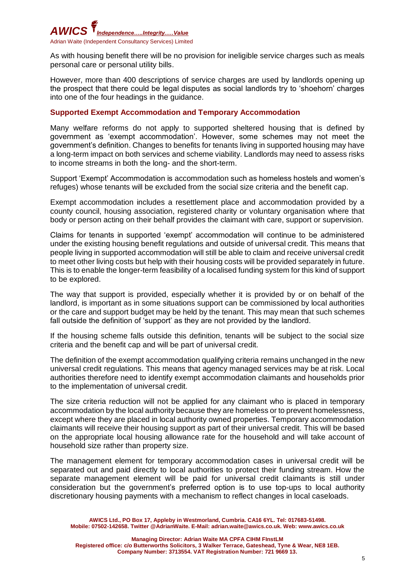

As with housing benefit there will be no provision for ineligible service charges such as meals personal care or personal utility bills.

However, more than 400 descriptions of service charges are used by landlords opening up the prospect that there could be legal disputes as social landlords try to 'shoehorn' charges into one of the four headings in the guidance.

#### **Supported Exempt Accommodation and Temporary Accommodation**

Many welfare reforms do not apply to supported sheltered housing that is defined by government as 'exempt accommodation'. However, some schemes may not meet the government's definition. Changes to benefits for tenants living in supported housing may have a long-term impact on both services and scheme viability. Landlords may need to assess risks to income streams in both the long- and the short-term.

Support 'Exempt' Accommodation is accommodation such as homeless hostels and women's refuges) whose tenants will be excluded from the social size criteria and the benefit cap.

Exempt accommodation includes a resettlement place and accommodation provided by a county council, housing association, registered charity or voluntary organisation where that body or person acting on their behalf provides the claimant with care, support or supervision.

Claims for tenants in supported 'exempt' accommodation will continue to be administered under the existing housing benefit regulations and outside of universal credit. This means that people living in supported accommodation will still be able to claim and receive universal credit to meet other living costs but help with their housing costs will be provided separately in future. This is to enable the longer-term feasibility of a localised funding system for this kind of support to be explored.

The way that support is provided, especially whether it is provided by or on behalf of the landlord, is important as in some situations support can be commissioned by local authorities or the care and support budget may be held by the tenant. This may mean that such schemes fall outside the definition of 'support' as they are not provided by the landlord.

If the housing scheme falls outside this definition, tenants will be subject to the social size criteria and the benefit cap and will be part of universal credit.

The definition of the exempt accommodation qualifying criteria remains unchanged in the new universal credit regulations. This means that agency managed services may be at risk. Local authorities therefore need to identify exempt accommodation claimants and households prior to the implementation of universal credit.

The size criteria reduction will not be applied for any claimant who is placed in temporary accommodation by the local authority because they are homeless or to prevent homelessness, except where they are placed in local authority owned properties. Temporary accommodation claimants will receive their housing support as part of their universal credit. This will be based on the appropriate local housing allowance rate for the household and will take account of household size rather than property size.

The management element for temporary accommodation cases in universal credit will be separated out and paid directly to local authorities to protect their funding stream. How the separate management element will be paid for universal credit claimants is still under consideration but the government's preferred option is to use top-ups to local authority discretionary housing payments with a mechanism to reflect changes in local caseloads.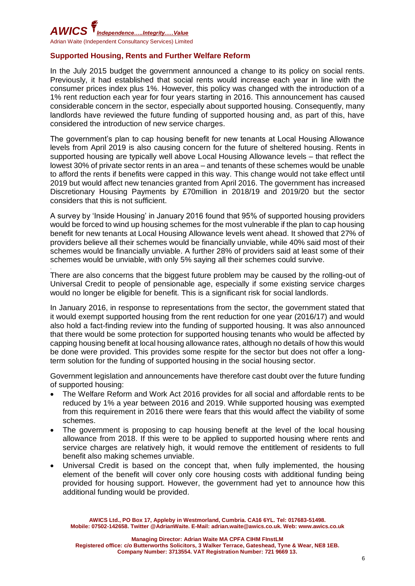

### **Supported Housing, Rents and Further Welfare Reform**

In the July 2015 budget the government announced a change to its policy on social rents. Previously, it had established that social rents would increase each year in line with the consumer prices index plus 1%. However, this policy was changed with the introduction of a 1% rent reduction each year for four years starting in 2016. This announcement has caused considerable concern in the sector, especially about supported housing. Consequently, many landlords have reviewed the future funding of supported housing and, as part of this, have considered the introduction of new service charges.

The government's plan to cap housing benefit for new tenants at Local Housing Allowance levels from April 2019 is also causing concern for the future of sheltered housing. Rents in supported housing are typically well above Local Housing Allowance levels – that reflect the lowest 30% of private sector rents in an area – and tenants of these schemes would be unable to afford the rents if benefits were capped in this way. This change would not take effect until 2019 but would affect new tenancies granted from April 2016. The government has increased Discretionary Housing Payments by £70million in 2018/19 and 2019/20 but the sector considers that this is not sufficient.

A survey by 'Inside Housing' in January 2016 found that 95% of supported housing providers would be forced to wind up housing schemes for the most vulnerable if the plan to cap housing benefit for new tenants at Local Housing Allowance levels went ahead. It showed that 27% of providers believe all their schemes would be financially unviable, while 40% said most of their schemes would be financially unviable. A further 28% of providers said at least some of their schemes would be unviable, with only 5% saying all their schemes could survive.

. There are also concerns that the biggest future problem may be caused by the rolling-out of Universal Credit to people of pensionable age, especially if some existing service charges would no longer be eligible for benefit. This is a significant risk for social landlords.

In January 2016, in response to representations from the sector, the government stated that it would exempt supported housing from the rent reduction for one year (2016/17) and would also hold a fact-finding review into the funding of supported housing. It was also announced that there would be some protection for supported housing tenants who would be affected by capping housing benefit at local housing allowance rates, although no details of how this would be done were provided. This provides some respite for the sector but does not offer a longterm solution for the funding of supported housing in the social housing sector.

Government legislation and announcements have therefore cast doubt over the future funding of supported housing:

- The Welfare Reform and Work Act 2016 provides for all social and affordable rents to be reduced by 1% a year between 2016 and 2019. While supported housing was exempted from this requirement in 2016 there were fears that this would affect the viability of some schemes.
- The government is proposing to cap housing benefit at the level of the local housing allowance from 2018. If this were to be applied to supported housing where rents and service charges are relatively high, it would remove the entitlement of residents to full benefit also making schemes unviable.
- Universal Credit is based on the concept that, when fully implemented, the housing element of the benefit will cover only core housing costs with additional funding being provided for housing support. However, the government had yet to announce how this additional funding would be provided.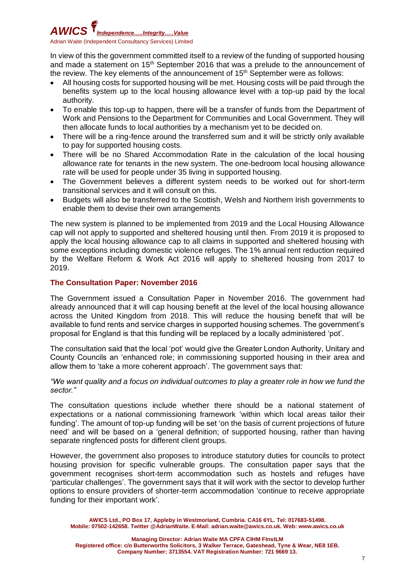# *AWICS Independence…..Integrity.….Value* Adrian Waite (Independent Consultancy Services) Limited

In view of this the government committed itself to a review of the funding of supported housing and made a statement on 15<sup>th</sup> September 2016 that was a prelude to the announcement of the review. The key elements of the announcement of  $15<sup>th</sup>$  September were as follows:

- All housing costs for supported housing will be met. Housing costs will be paid through the benefits system up to the local housing allowance level with a top-up paid by the local authority.
- To enable this top-up to happen, there will be a transfer of funds from the Department of Work and Pensions to the Department for Communities and Local Government. They will then allocate funds to local authorities by a mechanism yet to be decided on.
- There will be a ring-fence around the transferred sum and it will be strictly only available to pay for supported housing costs.
- There will be no Shared Accommodation Rate in the calculation of the local housing allowance rate for tenants in the new system. The one-bedroom local housing allowance rate will be used for people under 35 living in supported housing.
- The Government believes a different system needs to be worked out for short-term transitional services and it will consult on this.
- Budgets will also be transferred to the Scottish, Welsh and Northern Irish governments to enable them to devise their own arrangements

The new system is planned to be implemented from 2019 and the Local Housing Allowance cap will not apply to supported and sheltered housing until then. From 2019 it is proposed to apply the local housing allowance cap to all claims in supported and sheltered housing with some exceptions including domestic violence refuges. The 1% annual rent reduction required by the Welfare Reform & Work Act 2016 will apply to sheltered housing from 2017 to 2019.

### **The Consultation Paper: November 2016**

The Government issued a Consultation Paper in November 2016. The government had already announced that it will cap housing benefit at the level of the local housing allowance across the United Kingdom from 2018. This will reduce the housing benefit that will be available to fund rents and service charges in supported housing schemes. The government's proposal for England is that this funding will be replaced by a locally administered 'pot'.

The consultation said that the local 'pot' would give the Greater London Authority, Unitary and County Councils an 'enhanced role; in commissioning supported housing in their area and allow them to 'take a more coherent approach'. The government says that:

#### *"We want quality and a focus on individual outcomes to play a greater role in how we fund the sector."*

The consultation questions include whether there should be a national statement of expectations or a national commissioning framework 'within which local areas tailor their funding'. The amount of top-up funding will be set 'on the basis of current projections of future need' and will be based on a 'general definition; of supported housing, rather than having separate ringfenced posts for different client groups.

However, the government also proposes to introduce statutory duties for councils to protect housing provision for specific vulnerable groups. The consultation paper says that the government recognises short-term accommodation such as hostels and refuges have 'particular challenges'. The government says that it will work with the sector to develop further options to ensure providers of shorter-term accommodation 'continue to receive appropriate funding for their important work'.

**AWICS Ltd., PO Box 17, Appleby in Westmorland, Cumbria. CA16 6YL. Tel: 017683-51498. Mobile: 07502-142658. Twitter @AdrianWaite. E-Mail: adrian.waite@awics.co.uk. Web: www.awics.co.uk**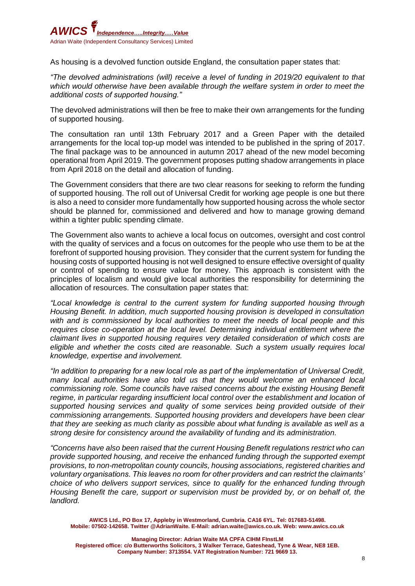

As housing is a devolved function outside England, the consultation paper states that:

*"The devolved administrations (will) receive a level of funding in 2019/20 equivalent to that which would otherwise have been available through the welfare system in order to meet the additional costs of supported housing."*

The devolved administrations will then be free to make their own arrangements for the funding of supported housing.

The consultation ran until 13th February 2017 and a Green Paper with the detailed arrangements for the local top-up model was intended to be published in the spring of 2017. The final package was to be announced in autumn 2017 ahead of the new model becoming operational from April 2019. The government proposes putting shadow arrangements in place from April 2018 on the detail and allocation of funding.

The Government considers that there are two clear reasons for seeking to reform the funding of supported housing. The roll out of Universal Credit for working age people is one but there is also a need to consider more fundamentally how supported housing across the whole sector should be planned for, commissioned and delivered and how to manage growing demand within a tighter public spending climate.

The Government also wants to achieve a local focus on outcomes, oversight and cost control with the quality of services and a focus on outcomes for the people who use them to be at the forefront of supported housing provision. They consider that the current system for funding the housing costs of supported housing is not well designed to ensure effective oversight of quality or control of spending to ensure value for money. This approach is consistent with the principles of localism and would give local authorities the responsibility for determining the allocation of resources. The consultation paper states that:

*"Local knowledge is central to the current system for funding supported housing through Housing Benefit. In addition, much supported housing provision is developed in consultation with and is commissioned by local authorities to meet the needs of local people and this requires close co-operation at the local level. Determining individual entitlement where the claimant lives in supported housing requires very detailed consideration of which costs are eligible and whether the costs cited are reasonable. Such a system usually requires local knowledge, expertise and involvement.*

*"In addition to preparing for a new local role as part of the implementation of Universal Credit, many local authorities have also told us that they would welcome an enhanced local commissioning role. Some councils have raised concerns about the existing Housing Benefit*  regime, in particular regarding insufficient local control over the establishment and location of *supported housing services and quality of some services being provided outside of their commissioning arrangements. Supported housing providers and developers have been clear that they are seeking as much clarity as possible about what funding is available as well as a strong desire for consistency around the availability of funding and its administration.*

*"Concerns have also been raised that the current Housing Benefit regulations restrict who can provide supported housing, and receive the enhanced funding through the supported exempt provisions, to non-metropolitan county councils, housing associations, registered charities and voluntary organisations. This leaves no room for other providers and can restrict the claimants' choice of who delivers support services, since to qualify for the enhanced funding through Housing Benefit the care, support or supervision must be provided by, or on behalf of, the landlord.*

**AWICS Ltd., PO Box 17, Appleby in Westmorland, Cumbria. CA16 6YL. Tel: 017683-51498. Mobile: 07502-142658. Twitter @AdrianWaite. E-Mail: adrian.waite@awics.co.uk. Web: www.awics.co.uk**

**Managing Director: Adrian Waite MA CPFA CIHM FInstLM Registered office: c/o Butterworths Solicitors, 3 Walker Terrace, Gateshead, Tyne & Wear, NE8 1EB. Company Number: 3713554. VAT Registration Number: 721 9669 13.**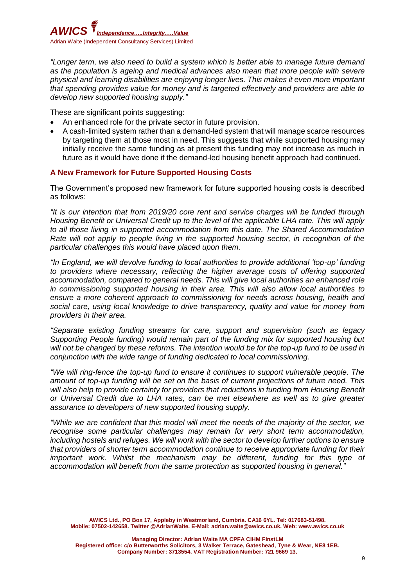

*"Longer term, we also need to build a system which is better able to manage future demand as the population is ageing and medical advances also mean that more people with severe physical and learning disabilities are enjoying longer lives. This makes it even more important that spending provides value for money and is targeted effectively and providers are able to develop new supported housing supply."*

These are significant points suggesting:

- An enhanced role for the private sector in future provision.
- A cash-limited system rather than a demand-led system that will manage scarce resources by targeting them at those most in need. This suggests that while supported housing may initially receive the same funding as at present this funding may not increase as much in future as it would have done if the demand-led housing benefit approach had continued.

#### **A New Framework for Future Supported Housing Costs**

The Government's proposed new framework for future supported housing costs is described as follows:

*"It is our intention that from 2019/20 core rent and service charges will be funded through Housing Benefit or Universal Credit up to the level of the applicable LHA rate. This will apply to all those living in supported accommodation from this date. The Shared Accommodation Rate will not apply to people living in the supported housing sector, in recognition of the particular challenges this would have placed upon them.* 

*"In England, we will devolve funding to local authorities to provide additional 'top-up' funding to providers where necessary, reflecting the higher average costs of offering supported accommodation, compared to general needs. This will give local authorities an enhanced role in commissioning supported housing in their area. This will also allow local authorities to ensure a more coherent approach to commissioning for needs across housing, health and social care, using local knowledge to drive transparency, quality and value for money from providers in their area.*

*"Separate existing funding streams for care, support and supervision (such as legacy Supporting People funding) would remain part of the funding mix for supported housing but will not be changed by these reforms. The intention would be for the top-up fund to be used in conjunction with the wide range of funding dedicated to local commissioning.*

*"We will ring-fence the top-up fund to ensure it continues to support vulnerable people. The amount of top-up funding will be set on the basis of current projections of future need. This*  will also help to provide certainty for providers that reductions in funding from Housing Benefit *or Universal Credit due to LHA rates, can be met elsewhere as well as to give greater assurance to developers of new supported housing supply.* 

*"While we are confident that this model will meet the needs of the majority of the sector, we recognise some particular challenges may remain for very short term accommodation, including hostels and refuges. We will work with the sector to develop further options to ensure that providers of shorter term accommodation continue to receive appropriate funding for their important work. Whilst the mechanism may be different, funding for this type of accommodation will benefit from the same protection as supported housing in general."*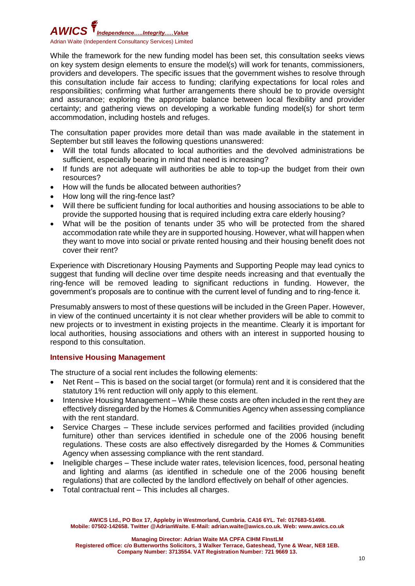

While the framework for the new funding model has been set, this consultation seeks views on key system design elements to ensure the model(s) will work for tenants, commissioners, providers and developers. The specific issues that the government wishes to resolve through this consultation include fair access to funding; clarifying expectations for local roles and responsibilities; confirming what further arrangements there should be to provide oversight and assurance; exploring the appropriate balance between local flexibility and provider certainty; and gathering views on developing a workable funding model(s) for short term accommodation, including hostels and refuges.

The consultation paper provides more detail than was made available in the statement in September but still leaves the following questions unanswered:

- Will the total funds allocated to local authorities and the devolved administrations be sufficient, especially bearing in mind that need is increasing?
- If funds are not adequate will authorities be able to top-up the budget from their own resources?
- How will the funds be allocated between authorities?
- How long will the ring-fence last?
- Will there be sufficient funding for local authorities and housing associations to be able to provide the supported housing that is required including extra care elderly housing?
- What will be the position of tenants under 35 who will be protected from the shared accommodation rate while they are in supported housing. However, what will happen when they want to move into social or private rented housing and their housing benefit does not cover their rent?

Experience with Discretionary Housing Payments and Supporting People may lead cynics to suggest that funding will decline over time despite needs increasing and that eventually the ring-fence will be removed leading to significant reductions in funding. However, the government's proposals are to continue with the current level of funding and to ring-fence it.

Presumably answers to most of these questions will be included in the Green Paper. However, in view of the continued uncertainty it is not clear whether providers will be able to commit to new projects or to investment in existing projects in the meantime. Clearly it is important for local authorities, housing associations and others with an interest in supported housing to respond to this consultation.

### **Intensive Housing Management**

The structure of a social rent includes the following elements:

- Net Rent This is based on the social target (or formula) rent and it is considered that the statutory 1% rent reduction will only apply to this element.
- Intensive Housing Management While these costs are often included in the rent they are effectively disregarded by the Homes & Communities Agency when assessing compliance with the rent standard.
- Service Charges These include services performed and facilities provided (including furniture) other than services identified in schedule one of the 2006 housing benefit regulations. These costs are also effectively disregarded by the Homes & Communities Agency when assessing compliance with the rent standard.
- Ineligible charges These include water rates, television licences, food, personal heating and lighting and alarms (as identified in schedule one of the 2006 housing benefit regulations) that are collected by the landlord effectively on behalf of other agencies.
- Total contractual rent This includes all charges.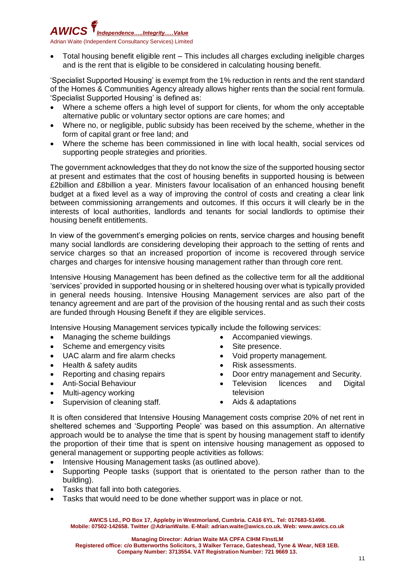

• Total housing benefit eligible rent – This includes all charges excluding ineligible charges and is the rent that is eligible to be considered in calculating housing benefit.

'Specialist Supported Housing' is exempt from the 1% reduction in rents and the rent standard of the Homes & Communities Agency already allows higher rents than the social rent formula. 'Specialist Supported Housing' is defined as:

- Where a scheme offers a high level of support for clients, for whom the only acceptable alternative public or voluntary sector options are care homes; and
- Where no, or negligible, public subsidy has been received by the scheme, whether in the form of capital grant or free land; and
- Where the scheme has been commissioned in line with local health, social services od supporting people strategies and priorities.

The government acknowledges that they do not know the size of the supported housing sector at present and estimates that the cost of housing benefits in supported housing is between £2billion and £8billion a year. Ministers favour localisation of an enhanced housing benefit budget at a fixed level as a way of improving the control of costs and creating a clear link between commissioning arrangements and outcomes. If this occurs it will clearly be in the interests of local authorities, landlords and tenants for social landlords to optimise their housing benefit entitlements.

In view of the government's emerging policies on rents, service charges and housing benefit many social landlords are considering developing their approach to the setting of rents and service charges so that an increased proportion of income is recovered through service charges and charges for intensive housing management rather than through core rent.

Intensive Housing Management has been defined as the collective term for all the additional 'services' provided in supported housing or in sheltered housing over what is typically provided in general needs housing. Intensive Housing Management services are also part of the tenancy agreement and are part of the provision of the housing rental and as such their costs are funded through Housing Benefit if they are eligible services.

Intensive Housing Management services typically include the following services:

- Managing the scheme buildings
- Scheme and emergency visits
- UAC alarm and fire alarm checks
- Health & safety audits
- Reporting and chasing repairs
- Anti-Social Behaviour
- Multi-agency working
- Supervision of cleaning staff.
- Accompanied viewings.
- Site presence.
- Void property management.
- Risk assessments.
- Door entry management and Security.
- Television licences and Digital television
- Aids & adaptations

It is often considered that Intensive Housing Management costs comprise 20% of net rent in sheltered schemes and 'Supporting People' was based on this assumption. An alternative approach would be to analyse the time that is spent by housing management staff to identify the proportion of their time that is spent on intensive housing management as opposed to general management or supporting people activities as follows:

- Intensive Housing Management tasks (as outlined above).
- Supporting People tasks (support that is orientated to the person rather than to the building).
- Tasks that fall into both categories.
- Tasks that would need to be done whether support was in place or not.

**AWICS Ltd., PO Box 17, Appleby in Westmorland, Cumbria. CA16 6YL. Tel: 017683-51498. Mobile: 07502-142658. Twitter @AdrianWaite. E-Mail: adrian.waite@awics.co.uk. Web: www.awics.co.uk**

**Managing Director: Adrian Waite MA CPFA CIHM FInstLM**

**Registered office: c/o Butterworths Solicitors, 3 Walker Terrace, Gateshead, Tyne & Wear, NE8 1EB.**

**Company Number: 3713554. VAT Registration Number: 721 9669 13.**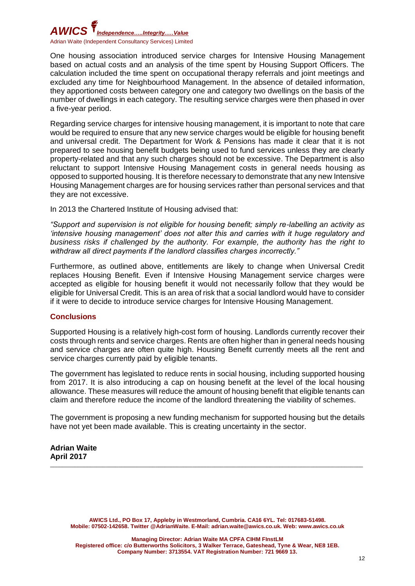## *AWICS Independence…..Integrity.….Value* Adrian Waite (Independent Consultancy Services) Limited

One housing association introduced service charges for Intensive Housing Management based on actual costs and an analysis of the time spent by Housing Support Officers. The calculation included the time spent on occupational therapy referrals and joint meetings and excluded any time for Neighbourhood Management. In the absence of detailed information, they apportioned costs between category one and category two dwellings on the basis of the number of dwellings in each category. The resulting service charges were then phased in over a five-year period.

Regarding service charges for intensive housing management, it is important to note that care would be required to ensure that any new service charges would be eligible for housing benefit and universal credit. The Department for Work & Pensions has made it clear that it is not prepared to see housing benefit budgets being used to fund services unless they are clearly property-related and that any such charges should not be excessive. The Department is also reluctant to support Intensive Housing Management costs in general needs housing as opposed to supported housing. It is therefore necessary to demonstrate that any new Intensive Housing Management charges are for housing services rather than personal services and that they are not excessive.

In 2013 the Chartered Institute of Housing advised that:

*"Support and supervision is not eligible for housing benefit; simply re-labelling an activity as 'intensive housing management' does not alter this and carries with it huge regulatory and business risks if challenged by the authority. For example, the authority has the right to withdraw all direct payments if the landlord classifies charges incorrectly."*

Furthermore, as outlined above, entitlements are likely to change when Universal Credit replaces Housing Benefit. Even if Intensive Housing Management service charges were accepted as eligible for housing benefit it would not necessarily follow that they would be eligible for Universal Credit. This is an area of risk that a social landlord would have to consider if it were to decide to introduce service charges for Intensive Housing Management.

### **Conclusions**

Supported Housing is a relatively high-cost form of housing. Landlords currently recover their costs through rents and service charges. Rents are often higher than in general needs housing and service charges are often quite high. Housing Benefit currently meets all the rent and service charges currently paid by eligible tenants.

The government has legislated to reduce rents in social housing, including supported housing from 2017. It is also introducing a cap on housing benefit at the level of the local housing allowance. These measures will reduce the amount of housing benefit that eligible tenants can claim and therefore reduce the income of the landlord threatening the viability of schemes.

The government is proposing a new funding mechanism for supported housing but the details have not yet been made available. This is creating uncertainty in the sector.

\_\_\_\_\_\_\_\_\_\_\_\_\_\_\_\_\_\_\_\_\_\_\_\_\_\_\_\_\_\_\_\_\_\_\_\_\_\_\_\_\_\_\_\_\_\_\_\_\_\_\_\_\_\_\_\_\_\_\_\_\_\_\_\_\_\_\_\_\_\_\_\_\_\_\_\_\_\_\_\_\_\_\_\_\_\_\_\_\_\_\_\_\_\_\_\_\_\_\_\_\_

#### **Adrian Waite April 2017**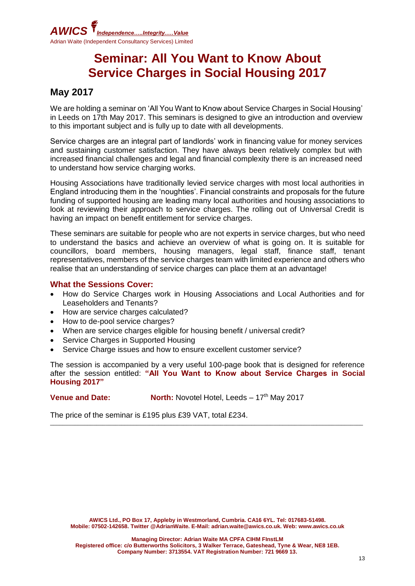

# **Seminar: All You Want to Know About Service Charges in Social Housing 2017**

### **May 2017**

We are holding a seminar on 'All You Want to Know about Service Charges in Social Housing' in Leeds on 17th May 2017. This seminars is designed to give an introduction and overview to this important subject and is fully up to date with all developments.

Service charges are an integral part of landlords' work in financing value for money services and sustaining customer satisfaction. They have always been relatively complex but with increased financial challenges and legal and financial complexity there is an increased need to understand how service charging works.

Housing Associations have traditionally levied service charges with most local authorities in England introducing them in the 'noughties'. Financial constraints and proposals for the future funding of supported housing are leading many local authorities and housing associations to look at reviewing their approach to service charges. The rolling out of Universal Credit is having an impact on benefit entitlement for service charges.

These seminars are suitable for people who are not experts in service charges, but who need to understand the basics and achieve an overview of what is going on. It is suitable for councillors, board members, housing managers, legal staff, finance staff, tenant representatives, members of the service charges team with limited experience and others who realise that an understanding of service charges can place them at an advantage!

### **What the Sessions Cover:**

- How do Service Charges work in Housing Associations and Local Authorities and for Leaseholders and Tenants?
- How are service charges calculated?
- How to de-pool service charges?
- When are service charges eligible for housing benefit / universal credit?
- Service Charges in Supported Housing
- Service Charge issues and how to ensure excellent customer service?

The session is accompanied by a very useful 100-page book that is designed for reference after the session entitled: **"All You Want to Know about Service Charges in Social Housing 2017"**

\_\_\_\_\_\_\_\_\_\_\_\_\_\_\_\_\_\_\_\_\_\_\_\_\_\_\_\_\_\_\_\_\_\_\_\_\_\_\_\_\_\_\_\_\_\_\_\_\_\_\_\_\_\_\_\_\_\_\_\_\_\_\_\_\_\_\_\_\_\_\_\_\_\_\_\_\_\_\_\_\_\_\_\_\_\_\_\_\_\_\_\_\_\_\_\_\_\_\_\_\_

**Venue and Date:** North: Novotel Hotel, Leeds – 17<sup>th</sup> May 2017

The price of the seminar is £195 plus £39 VAT, total £234.